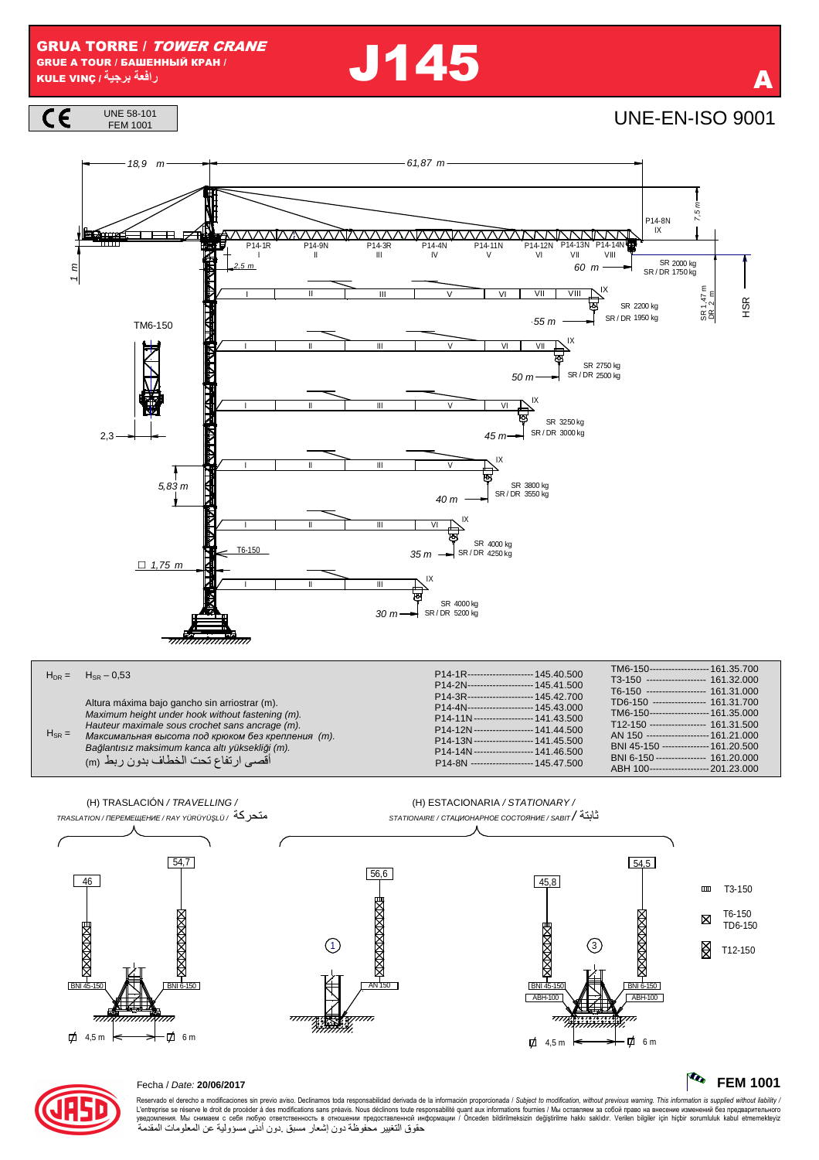**GRUA TORRE / TOWER CRANE GRUE A TOUR / БАШЕННЫЙ КРАН /** رافعة برجية / KULE VINÇ

**J145** 

**UNE-EN-ISO 9001** 







|            | $H_{\text{DR}} = H_{\text{SR}} - 0.53$                                                                                                                                                                                                                                                              | P14-1R--------------------- 145.40.500                                                                                                                                                                                                                                                                                                    | TM6-150------------------- 161 35 700<br>T3-150 ------------------ 161.32.000                                                                                                                                                                                                                                                   |
|------------|-----------------------------------------------------------------------------------------------------------------------------------------------------------------------------------------------------------------------------------------------------------------------------------------------------|-------------------------------------------------------------------------------------------------------------------------------------------------------------------------------------------------------------------------------------------------------------------------------------------------------------------------------------------|---------------------------------------------------------------------------------------------------------------------------------------------------------------------------------------------------------------------------------------------------------------------------------------------------------------------------------|
| $H_{SR} =$ | Altura máxima bajo gancho sin arriostrar (m).<br>Maximum height under hook without fastening (m).<br>Hauteur maximale sous crochet sans ancrage (m).<br>Максимальная высота под крюком без крепления (т).<br>Bağlantısız maksimum kanca altı yüksekliği (m).<br>أقصىي ارتفاع تحت الخطاف بدون ربط (m | P14-2N--------------------- 145.41.500<br>P14-3R--------------------- 145.42.700<br>P14-4N--------------------- 145.43.000<br>P14-11N------------------- 141.43.500<br>P14-12N------------------- 141.44.500<br>P14-13N------------------- 141.45.500<br>P14-14N ------------------- 141.46.500<br>P14-8N -------------------- 145.47.500 | T6-150 ------------------ 161.31.000<br>TD6-150 ---------------- 161.31.700<br>TM6-150------------------- 161.35.000<br>T12-150 ----------------- 161.31.500<br>AN 150 -------------------- 161 21 000<br>BNI 45-150 -------------- 161.20.500<br>BNI 6-150 --------------- 161.20.000<br>ABH 100------------------- 201.23.000 |





## Fecha / Date: 20/06/2017

Reservado el derecho a modificaciones sin previo aviso. Declinamos toda responsabilidad derivada de la información proporcionada / Subject to modification, without previous warning. This information is supplied without l

**FEM 1001**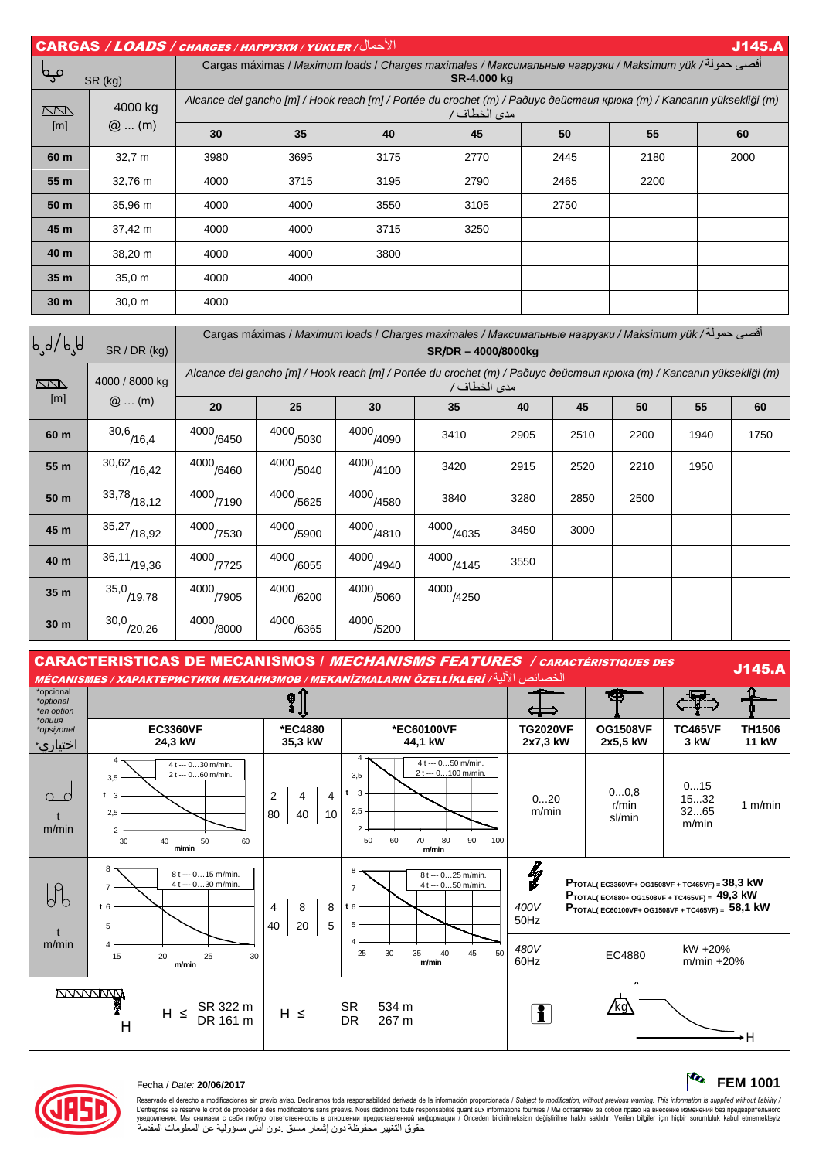|                 | $  \overline{ \textsf{CARGAS} } / \textsf{\textit{LOADS} } /$ снаrges / нагрузки / үüкler<br><b>J145.A</b> |                                                                                                                                      |      |      |      |      |      |      |  |  |
|-----------------|------------------------------------------------------------------------------------------------------------|--------------------------------------------------------------------------------------------------------------------------------------|------|------|------|------|------|------|--|--|
| فہم             | SR (kg)                                                                                                    | أقصى حمولة/ Cargas máximas / Maximum loads / Charges maximales / Максимальные нагрузки / Maksimum yük<br>SR-4.000 kg                 |      |      |      |      |      |      |  |  |
| $\Box$          | 4000 kg<br>$@$ (m)                                                                                         | Alcance del gancho [m] / Hook reach [m] / Portée du crochet (m) / Радиус действия крюка (m) / Kancanın yüksekliği (m)<br>مدى الخطاف/ |      |      |      |      |      |      |  |  |
| [m]             |                                                                                                            | 30                                                                                                                                   | 35   | 40   | 45   | 50   | 55   | 60   |  |  |
| 60 m            | 32,7 m                                                                                                     | 3980                                                                                                                                 | 3695 | 3175 | 2770 | 2445 | 2180 | 2000 |  |  |
| 55 m            | 32,76 m                                                                                                    | 4000                                                                                                                                 | 3715 | 3195 | 2790 | 2465 | 2200 |      |  |  |
| 50 <sub>m</sub> | 35,96 m                                                                                                    | 4000                                                                                                                                 | 4000 | 3550 | 3105 | 2750 |      |      |  |  |
| 45 m            | 37,42 m                                                                                                    | 4000                                                                                                                                 | 4000 | 3715 | 3250 |      |      |      |  |  |
| 40 m            | 38,20 m                                                                                                    | 4000                                                                                                                                 | 4000 | 3800 |      |      |      |      |  |  |
| 35 <sub>m</sub> | 35.0 m                                                                                                     | 4000                                                                                                                                 | 4000 |      |      |      |      |      |  |  |
| 30 <sub>m</sub> | 30.0 m                                                                                                     | 4000                                                                                                                                 |      |      |      |      |      |      |  |  |
|                 |                                                                                                            |                                                                                                                                      |      |      |      |      |      |      |  |  |

| لیہ / لالیا | SR / DR (kg)              | أقصى حمولة/ Cargas máximas / Maximum loads / Charges maximales / Максимальные нагрузки / Maksimum yük<br>SR/DR - 4000/8000kg |               |                      |                                                                                                                                      |      |      |      |      |      |  |  |
|-------------|---------------------------|------------------------------------------------------------------------------------------------------------------------------|---------------|----------------------|--------------------------------------------------------------------------------------------------------------------------------------|------|------|------|------|------|--|--|
| $\sqrt{2}$  | 4000 / 8000 kg            |                                                                                                                              |               |                      | Alcance del gancho [m] / Hook reach [m] / Portée du crochet (m) / Paðuyc действия крюка (m) / Kancanın yüksekliği (m)<br>مدى الخطاف/ |      |      |      |      |      |  |  |
| [m]         | $@$ (m)                   | 20                                                                                                                           | 25            | 30                   | 35                                                                                                                                   | 40   | 45   | 50   | 55   | 60   |  |  |
| 60 m        | 30,6/16,4                 | 4000<br>/6450                                                                                                                | 4000<br>/5030 | 4000<br>(4090)       | 3410                                                                                                                                 | 2905 | 2510 | 2200 | 1940 | 1750 |  |  |
| 55 m        | $30,62$ <sub>/16,42</sub> | 4000<br>/6460                                                                                                                | 4000<br>/5040 | 4000<br>$^{'}$ /4100 | 3420                                                                                                                                 | 2915 | 2520 | 2210 | 1950 |      |  |  |
| 50 m        | 33,78<br>$^{7}$ /18,12    | 4000<br>77190                                                                                                                | 4000<br>/5625 | 4000<br>/4580        | 3840                                                                                                                                 | 3280 | 2850 | 2500 |      |      |  |  |
| 45 m        | 35,27<br>/18,92           | 4000<br>/7530                                                                                                                | 4000<br>/5900 | 4000<br>4810         | 4000<br>/4035                                                                                                                        | 3450 | 3000 |      |      |      |  |  |
| 40 m        | 36,11<br>/19,36           | 4000<br>/7725                                                                                                                | 4000<br>/6055 | 4000<br>$^{'}$ /4940 | 4000<br>4145                                                                                                                         | 3550 |      |      |      |      |  |  |
| 35 m        | $35,0$ <sub>/19,78</sub>  | 4000<br>7905                                                                                                                 | 4000<br>/6200 | 4000<br>/5060        | 4000<br>/4250                                                                                                                        |      |      |      |      |      |  |  |
| 30 m        | $30,0$ <sub>/20,26</sub>  | 4000<br>/8000                                                                                                                | 4000<br>/6365 | 4000<br>/5200        |                                                                                                                                      |      |      |      |      |      |  |  |

| <b>CARACTERISTICAS DE MECANISMOS / MECHANISMS FEATURES / CARACTÉRISTIQUES DES</b><br><b>J145.A</b><br>الخصائص الآلية/ MÉCANISMES / ХАРАКТЕРИСТИКИ МЕХАНИЗМОВ / МЕКАNIZMALARIN ÖZELLİKLERİ |                                                                                                                                  |                                            |                                                                                                                                        |                             |                                                                                                                                                                                      |                              |                        |  |  |  |
|-------------------------------------------------------------------------------------------------------------------------------------------------------------------------------------------|----------------------------------------------------------------------------------------------------------------------------------|--------------------------------------------|----------------------------------------------------------------------------------------------------------------------------------------|-----------------------------|--------------------------------------------------------------------------------------------------------------------------------------------------------------------------------------|------------------------------|------------------------|--|--|--|
| *opcional<br>*optional<br>*en option                                                                                                                                                      |                                                                                                                                  | ⊗                                          |                                                                                                                                        |                             | s Si                                                                                                                                                                                 |                              |                        |  |  |  |
| *опция<br>*opsiyonel<br>اختياري∗                                                                                                                                                          | <b>EC3360VF</b><br>24,3 kW                                                                                                       | *EC4880<br>35,3 kW                         | *EC60100VF<br>44,1 kW                                                                                                                  | <b>TG2020VF</b><br>2x7,3 kW | <b>OG1508VF</b><br>2x5,5 kW                                                                                                                                                          | <b>TC465VF</b><br>3 kW       | TH1506<br><b>11 kW</b> |  |  |  |
| h.<br>- 0<br>m/min                                                                                                                                                                        | 4<br>4 t --- 030 m/min.<br>2 t --- 060 m/min.<br>3,5<br>t <sub>3</sub><br>2,5<br>$\overline{2}$<br>30<br>50<br>40<br>60<br>m/min | $\overline{2}$<br>4<br>4<br>80<br>10<br>40 | 4<br>4 t --- 050 m/min.<br>2 t --- 0100 m/min.<br>3,5<br>3<br>t<br>2,5<br>$\overline{2}$<br>60<br>70<br>80<br>90<br>50<br>100<br>m/min | 020<br>m/min                | 00.8<br>r/min<br>sl/min                                                                                                                                                              | 015<br>1532<br>3265<br>m/min | 1 $m/min$              |  |  |  |
| H<br>m/min                                                                                                                                                                                | ד 8<br>8 t --- 015 m/min.<br>4 t --- 030 m/min.<br>t6<br>5                                                                       | 8<br>8<br>$\overline{4}$<br>40<br>5<br>20  | 8<br>8 t --- 025 m/min.<br>4 t --- 050 m/min.<br>t6<br>5                                                                               | lg<br>400V<br>50Hz          | $P_{\text{TOTAL}}$ (EC3360VF+ OG1508VF + TC465VF) = 38,3 kW<br>$P_{\text{TOTAL}(EC4880+OG1508VF+TC465VF)} = 49,3 kW$<br>$P_{\text{TOTAL}}$ (EC60100VF+ OG1508VF + TC465VF) = 58,1 kW |                              |                        |  |  |  |
|                                                                                                                                                                                           | 20<br>25<br>15<br>30<br>m/min                                                                                                    |                                            | 30<br>35<br>45<br>25<br>40<br>50<br>m/min                                                                                              | 480V<br>60Hz                | EC4880                                                                                                                                                                               | kW +20%<br>$m/min + 20%$     |                        |  |  |  |
|                                                                                                                                                                                           | SR 322 m<br>$H \leq$<br>DR 161 m<br>Н                                                                                            | $H \leq$                                   | <b>SR</b><br>534 m<br><b>DR</b><br>267 m                                                                                               | i                           | /kg\                                                                                                                                                                                 |                              | ٠H                     |  |  |  |

## Fecha / Date: **20/06/2017 FEM 1001**



Reservado el derecho a modificaciones sin previo aviso. Declinamos toda responsabilidad derivada de la información proporcionada / Subjec*t to modification, without previous warning. This information is supplied without*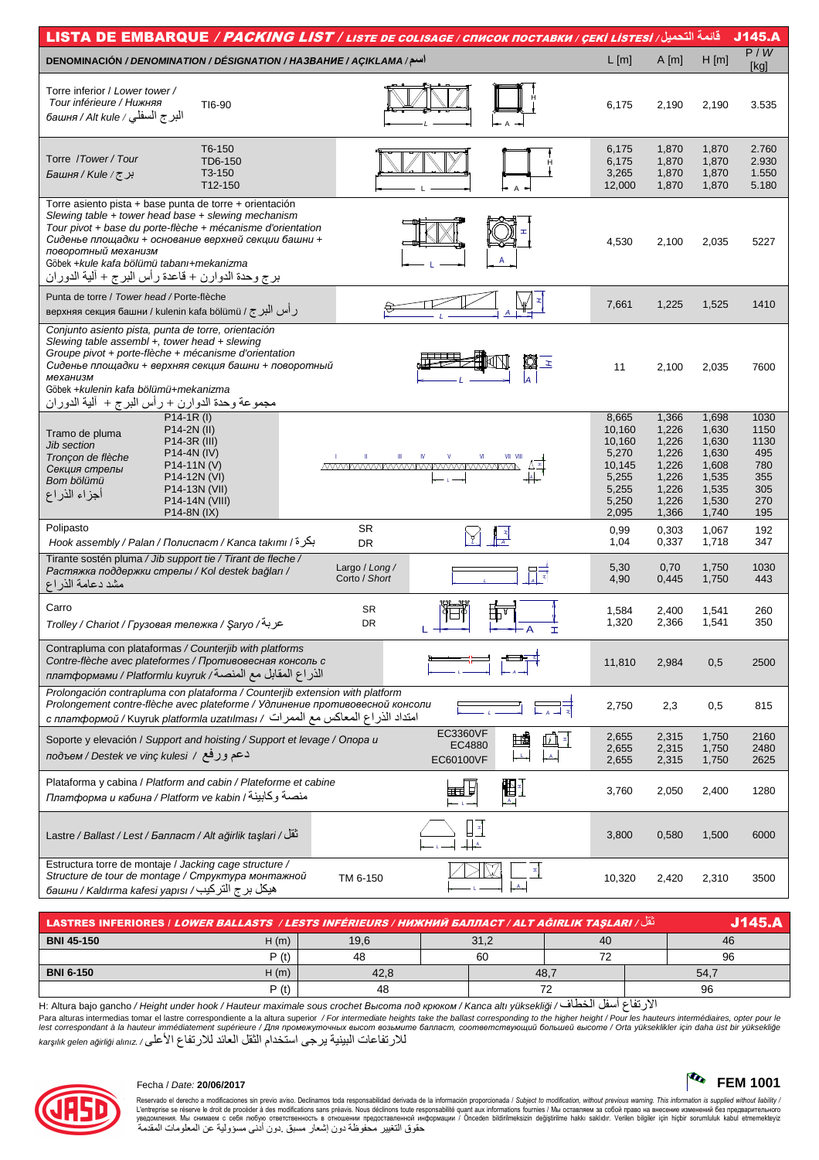| L[m]<br>A[m]<br>اسم/ DENOMINACIÓN / DENOMINATION / DÉSIGNATION / HA3BAHUE / AÇIKLAMA<br>Torre inferior / Lower tower /<br>Tour inférieure / Нижняя<br>TI6-90<br>6,175<br>2,190<br>البر ج السفلي / башня / Аlt kule                                                                                                                                                                         | H[m]<br>2,190<br>1,870<br>1,870<br>1,870<br>1,870                                                                                            | P/W<br>[kg]<br>3.535<br>2.760                                  |
|--------------------------------------------------------------------------------------------------------------------------------------------------------------------------------------------------------------------------------------------------------------------------------------------------------------------------------------------------------------------------------------------|----------------------------------------------------------------------------------------------------------------------------------------------|----------------------------------------------------------------|
|                                                                                                                                                                                                                                                                                                                                                                                            |                                                                                                                                              |                                                                |
|                                                                                                                                                                                                                                                                                                                                                                                            |                                                                                                                                              |                                                                |
| T6-150<br>6,175<br>Torre / Tower / Tour<br>TD6-150<br>6,175<br>T3-150<br>برج/Kule/ج<br>3,265<br>1,870<br>T12-150<br>12,000                                                                                                                                                                                                                                                                 | 1,870<br>1,870<br>1,870                                                                                                                      | 2.930<br>1.550<br>5.180                                        |
| Torre asiento pista + base punta de torre + orientación<br>Slewing table + tower head base + slewing mechanism<br>Tour pivot + base du porte-flèche + mécanisme d'orientation<br>Сиденье площадки + основание верхней секции башни +<br>4,530<br>2,100<br>поворотный механизм<br>Göbek +kule kafa bölümü tabanı+mekanizma<br>برج وحدة الدوارن + قاعدة ر أس البرج + ألية الدوران            | 2,035                                                                                                                                        | 5227                                                           |
| Punta de torre / Tower head / Porte-flèche<br>7,661<br>1,225<br>верхняя секция башни / kulenin kafa bölümü / رأس البرج / в                                                                                                                                                                                                                                                                 | 1,525                                                                                                                                        | 1410                                                           |
| Conjunto asiento pista, punta de torre, orientación<br>Slewing table assembl $+$ , tower head $+$ slewing<br>Groupe pivot + porte-flèche + mécanisme d'orientation<br>q<br>$\mathbf{z}$<br>Сиденье площадки + верхняя секция башни + поворотный<br>11<br>механизм<br>Göbek +kulenin kafa bölümü+mekanizma<br><u>مجموعة وحدة الدوارن + رأس البرج + آلية الدوران</u><br>P14-1R (l)           | 2,100<br>2,035                                                                                                                               | 7600                                                           |
| 8,665<br>P14-2N (II)<br>10,160<br>Tramo de pluma<br>10,160<br>P <sub>14</sub> -3R (III)<br>Jib section<br>5,270<br>P14-4N (IV)<br>Tronçon de flèche<br>IV<br>10,145<br>$P14-11N (V)$<br><u>MVWWWWWWWWWWWWWWWWWW</u><br>Секция стрелы<br>P14-12N (VI)<br>5,255<br>Bom bölümü<br>P14-13N (VII)<br>5,255<br>أجزاء الذراع<br>P14-14N (VIII)<br>5,250<br>1,226<br>P14-8N (IX)<br>2,095<br>1,366 | 1,366<br>1,698<br>1,630<br>1,226<br>1,226<br>1,630<br>1,226<br>1,630<br>1,226<br>1,608<br>1,226<br>1,535<br>1,535<br>1,226<br>1,530<br>1,740 | 1030<br>1150<br>1130<br>495<br>780<br>355<br>305<br>270<br>195 |
| Polipasto<br><b>SR</b><br>0,303<br>0,99<br>┞₹<br>بكرة/ Hook assembly / Palan / Полиспаст / Kanca takımı / أ<br>1,04<br>DR                                                                                                                                                                                                                                                                  | 1,067<br>0,337<br>1,718                                                                                                                      | 192<br>347                                                     |
| Tirante sostén pluma / Jib support tie / Tirant de fleche /<br>5,30<br>Largo / Long /<br>Растяжка поддержки стрелы / Kol destek bağları /<br>Corto / Short<br>4,90<br>مشد دعامة الذراع                                                                                                                                                                                                     | 0,70<br>1,750<br>0,445<br>1,750                                                                                                              | 1030<br>443                                                    |
| Carro<br><b>SR</b><br>1,584<br>1,320<br>DR<br>عربة/ Trolley / Chariot / Грузовая тележка / Şaryo<br>I                                                                                                                                                                                                                                                                                      | 2,400<br>1,541<br>2,366<br>1,541                                                                                                             | 260<br>350                                                     |
| Contrapluma con plataformas / Counterjib with platforms<br>Contre-flèche avec plateformes / Противовесная консоль с<br>11,810<br>الذراع المقابل مع المنصـة/ платформами / Platformlu kuyruk                                                                                                                                                                                                | 0,5<br>2,984                                                                                                                                 | 2500                                                           |
| Prolongación contrapluma con plataforma / Counterjib extension with platform<br>Prolongement contre-flèche avec plateforme / Удлинение противовесной консоли<br>2,750<br>2,3<br>с платформой / Kuyruk platformla uzatılması / أمتداد الذر اع المعاكس مع الممرات / с                                                                                                                        | 0,5                                                                                                                                          | 815                                                            |
| EC3360VF<br>2,655<br>⊞罰<br>Soporte y elevación / Support and hoisting / Support et levage / Onopa u<br>EC4880<br>2,655<br>دعم ورفع / подъем / Destek ve vinç kulesi<br>EC60100VF<br>2,655                                                                                                                                                                                                  | 2,315<br>1,750<br>2,315<br>1,750<br>2,315<br>1,750                                                                                           | 2160<br>2480<br>2625                                           |
| Plataforma y cabina / Platform and cabin / Plateforme et cabine<br>盟王<br>興<br>3,760<br>Платформа и кабина / Platform ve kabin / منصة وكابينة<br>- 1 -                                                                                                                                                                                                                                      | 2,050<br>2,400                                                                                                                               | 1280                                                           |
| تَقَلْ/ Lastre / Ballast / Lest / Балласт / Alt ağirlik taşlari<br>3,800<br>$\frac{1}{2}$                                                                                                                                                                                                                                                                                                  | 0,580<br>1,500                                                                                                                               | 6000                                                           |
| Estructura torre de montaje / Jacking cage structure /<br>Structure de tour de montage / Структура монтажной<br>TM 6-150<br>10,320<br>هيكل بر ج التركيب/ башни / Kaldırma kafesi yapısı                                                                                                                                                                                                    | 2,420<br>2,310                                                                                                                               | 3500                                                           |

| نَقْل/ LASTRES INFERIORES / <i>LOWER BALLASTS / LESTS INFÉRIEURS / НИЖНИЙ БАЛЛАСТ / ALT AĞIRLIK TASLARI</i> | V145. |      |      |      |    |      |    |
|-------------------------------------------------------------------------------------------------------------|-------|------|------|------|----|------|----|
| <b>BNI 45-150</b>                                                                                           | H(m)  | 19,6 | 31,2 |      | 40 |      | 46 |
|                                                                                                             | P (t) | 48   |      | 60   |    |      | 96 |
| <b>BNI 6-150</b>                                                                                            | H(m)  | 42,8 |      | 48,7 |    | 54,7 |    |
|                                                                                                             | P (t) | 48   |      |      |    |      | 96 |

H: Altura bajo gancho / Height under hook / Hauteur maximale sous crochet Высота под крюком / Kanca altı yüksekliği / الارتفاع أسفل الخطاف / H: Altura bajo gancho / Height under hook / Hauteur maximale sous crochet Bысот lest correspondant à la hauteur immédiatement supérieure / Для промежуточных высот возьмите балласт, соответствующий большей высоте / Orta yükseklikler için daha üst bir yüksekliğe للارتفاعات البينية يرجى استخدام الثقل العائد للارتفاع الأعلى/ karşılık gelen ağırliği alınız



## Fecha / Date: 20/06/2017

Reservado el derecho a modificaciones sin previo aviso. Declinamos toda responsabilidad derivada de la información proporcionada / Subject to modification, without previous warning. This information is supplied without l